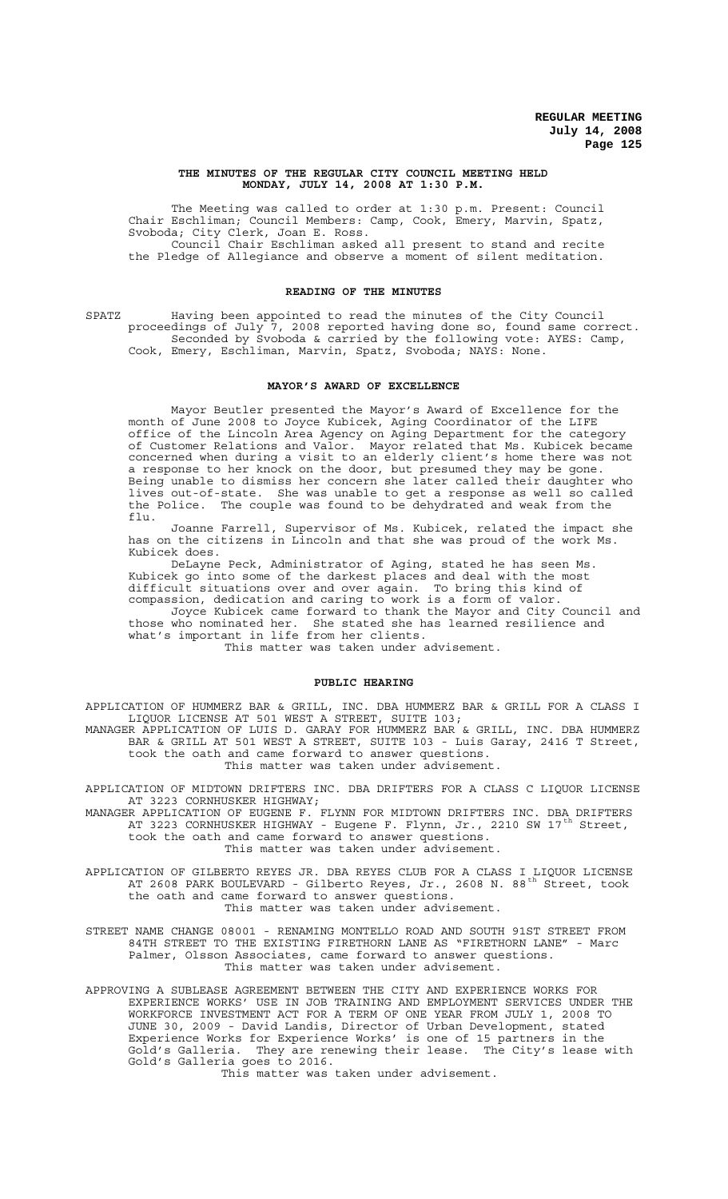#### **THE MINUTES OF THE REGULAR CITY COUNCIL MEETING HELD MONDAY, JULY 14, 2008 AT 1:30 P.M.**

The Meeting was called to order at 1:30 p.m. Present: Council Chair Eschliman; Council Members: Camp, Cook, Emery, Marvin, Spatz, Svoboda; City Clerk, Joan E. Ross. Council Chair Eschliman asked all present to stand and recite

the Pledge of Allegiance and observe a moment of silent meditation.

## **READING OF THE MINUTES**

SPATZ Having been appointed to read the minutes of the City Council proceedings of July 7, 2008 reported having done so, found same correct. Seconded by Svoboda & carried by the following vote: AYES: Camp, Cook, Emery, Eschliman, Marvin, Spatz, Svoboda; NAYS: None.

## **MAYOR'S AWARD OF EXCELLENCE**

Mayor Beutler presented the Mayor's Award of Excellence for the month of June 2008 to Joyce Kubicek, Aging Coordinator of the LIFE office of the Lincoln Area Agency on Aging Department for the category of Customer Relations and Valor. Mayor related that Ms. Kubicek became concerned when during a visit to an elderly client's home there was not a response to her knock on the door, but presumed they may be gone. Being unable to dismiss her concern she later called their daughter who lives out-of-state. She was unable to get a response as well so called the Police. The couple was found to be dehydrated and weak from the flu.

Joanne Farrell, Supervisor of Ms. Kubicek, related the impact she has on the citizens in Lincoln and that she was proud of the work Ms. Kubicek does.

DeLayne Peck, Administrator of Aging, stated he has seen Ms. Kubicek go into some of the darkest places and deal with the most difficult situations over and over again. To bring this kind of compassion, dedication and caring to work is a form of valor.

Joyce Kubicek came forward to thank the Mayor and City Council and<br>who nominated her. She stated she has learned resilience and those who nominated her. She stated she has learned resilience and what's important in life from her clients.

This matter was taken under advisement.

#### **PUBLIC HEARING**

APPLICATION OF HUMMERZ BAR & GRILL, INC. DBA HUMMERZ BAR & GRILL FOR A CLASS I LIQUOR LICENSE AT 501 WEST A STREET, SUITE 103; MANAGER APPLICATION OF LUIS D. GARAY FOR HUMMERZ BAR & GRILL, INC. DBA HUMMERZ BAR & GRILL AT 501 WEST A STREET, SUITE 103 - Luis Garay, 2416 T Street, took the oath and came forward to answer questions. This matter was taken under advisement.

APPLICATION OF MIDTOWN DRIFTERS INC. DBA DRIFTERS FOR A CLASS C LIQUOR LICENSE AT 3223 CORNHUSKER HIGHWAY;

MANAGER APPLICATION OF EUGENE F. FLYNN FOR MIDTOWN DRIFTERS INC. DBA DRIFTERS AT 3223 CORNHUSKER HIGHWAY - Eugene F. Flynn, Jr., 2210 SW 17<sup>th</sup> Street, took the oath and came forward to answer questions. This matter was taken under advisement.

APPLICATION OF GILBERTO REYES JR. DBA REYES CLUB FOR A CLASS I LIQUOR LICENSE AT 2608 PARK BOULEVARD - Gilberto Reyes, Jr., 2608 N. 88<sup>th</sup> Street, took the oath and came forward to answer questions. This matter was taken under advisement.

STREET NAME CHANGE 08001 - RENAMING MONTELLO ROAD AND SOUTH 91ST STREET FROM 84TH STREET TO THE EXISTING FIRETHORN LANE AS "FIRETHORN LANE" - Marc Palmer, Olsson Associates, came forward to answer questions. This matter was taken under advisement.

APPROVING A SUBLEASE AGREEMENT BETWEEN THE CITY AND EXPERIENCE WORKS FOR EXPERIENCE WORKS' USE IN JOB TRAINING AND EMPLOYMENT SERVICES UNDER THE WORKFORCE INVESTMENT ACT FOR A TERM OF ONE YEAR FROM JULY 1, 2008 TO JUNE 30, 2009 - David Landis, Director of Urban Development, stated Experience Works for Experience Works' is one of 15 partners in the Gold's Galleria. They are renewing their lease. The City's lease with Gold's Galleria goes to 2016.

This matter was taken under advisement.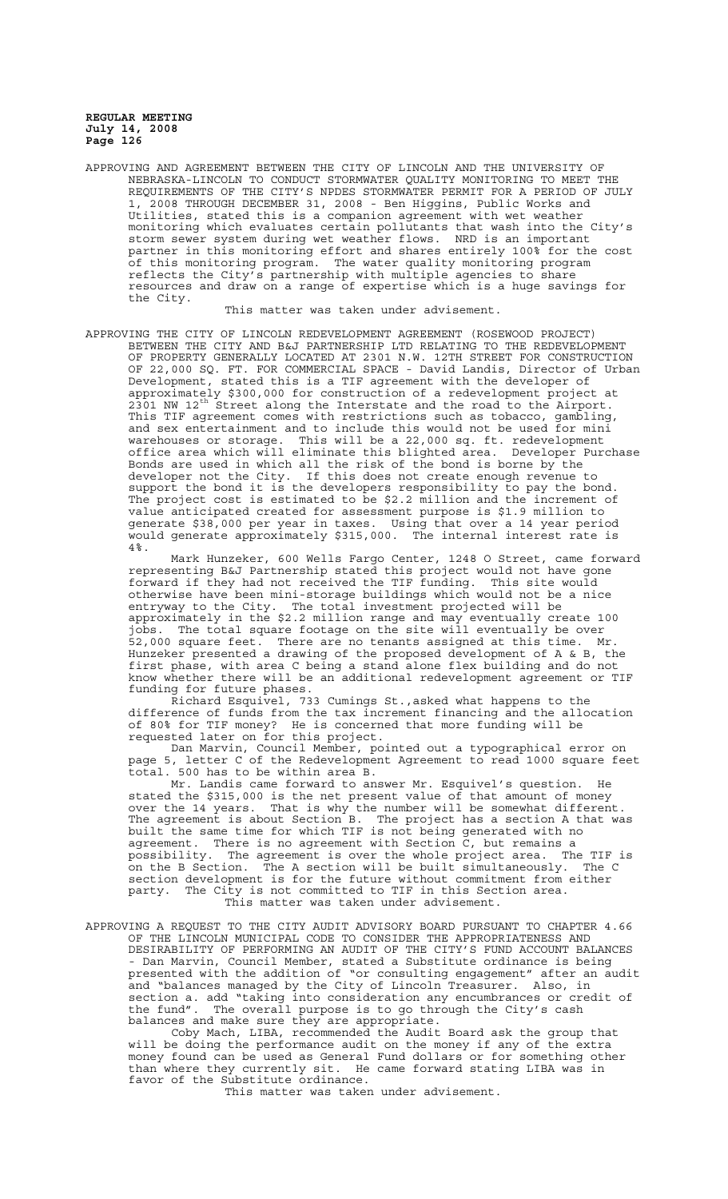APPROVING AND AGREEMENT BETWEEN THE CITY OF LINCOLN AND THE UNIVERSITY OF NEBRASKA-LINCOLN TO CONDUCT STORMWATER QUALITY MONITORING TO MEET THE REQUIREMENTS OF THE CITY'S NPDES STORMWATER PERMIT FOR A PERIOD OF JULY 1, 2008 THROUGH DECEMBER 31, 2008 - Ben Higgins, Public Works and Utilities, stated this is a companion agreement with wet weather monitoring which evaluates certain pollutants that wash into the City's storm sewer system during wet weather flows. NRD is an important partner in this monitoring effort and shares entirely 100% for the cost of this monitoring program. The water quality monitoring program reflects the City's partnership with multiple agencies to share resources and draw on a range of expertise which is a huge savings for the City.

This matter was taken under advisement.

APPROVING THE CITY OF LINCOLN REDEVELOPMENT AGREEMENT (ROSEWOOD PROJECT) BETWEEN THE CITY AND B&J PARTNERSHIP LTD RELATING TO THE REDEVELOPMENT OF PROPERTY GENERALLY LOCATED AT 2301 N.W. 12TH STREET FOR CONSTRUCTION OF 22,000 SQ. FT. FOR COMMERCIAL SPACE - David Landis, Director of Urban Development, stated this is a TIF agreement with the developer of approximately \$300,000 for construction of a redevelopment project at 2301 NW 12<sup>th</sup> Street along the Interstate and the road to the Airport. This TIF agreement comes with restrictions such as tobacco, gambling, and sex entertainment and to include this would not be used for mini warehouses or storage. This will be a 22,000 sq. ft. redevelopment office area which will eliminate this blighted area. Developer Purchase Bonds are used in which all the risk of the bond is borne by the developer not the City. If this does not create enough revenue to support the bond it is the developers responsibility to pay the bond. The project cost is estimated to be \$2.2 million and the increment of value anticipated created for assessment purpose is \$1.9 million to generate \$38,000 per year in taxes. Using that over a 14 year period would generate approximately \$315,000. The internal interest rate is 4%.

Mark Hunzeker, 600 Wells Fargo Center, 1248 O Street, came forward representing B&J Partnership stated this project would not have gone forward if they had not received the TIF funding. This site would otherwise have been mini-storage buildings which would not be a nice entryway to the City. The total investment projected will be approximately in the \$2.2 million range and may eventually create 100 jobs. The total square footage on the site will eventually be over 52,000 square feet. There are no tenants assigned at this time. Mr. Hunzeker presented a drawing of the proposed development of A & B, the first phase, with area C being a stand alone flex building and do not know whether there will be an additional redevelopment agreement or TIF funding for future phases.

Richard Esquivel, 733 Cumings St.,asked what happens to the difference of funds from the tax increment financing and the allocation of 80% for TIF money? He is concerned that more funding will be requested later on for this project.

Dan Marvin, Council Member, pointed out a typographical error on page 5, letter C of the Redevelopment Agreement to read 1000 square feet total. 500 has to be within area B.

Mr. Landis came forward to answer Mr. Esquivel's question. He stated the \$315,000 is the net present value of that amount of money over the 14 years. That is why the number will be somewhat different. The agreement is about Section B. The project has a section A that was built the same time for which TIF is not being generated with no agreement. There is no agreement with Section C, but remains a possibility. The agreement is over the whole project area. The TIF is on the B Section. The A section will be built simultaneously. The C section development is for the future without commitment from either party. The City is not committed to TIF in this Section area. This matter was taken under advisement.

APPROVING A REQUEST TO THE CITY AUDIT ADVISORY BOARD PURSUANT TO CHAPTER 4.66 OF THE LINCOLN MUNICIPAL CODE TO CONSIDER THE APPROPRIATENESS AND DESIRABILITY OF PERFORMING AN AUDIT OF THE CITY'S FUND ACCOUNT BALANCES - Dan Marvin, Council Member, stated a Substitute ordinance is being presented with the addition of "or consulting engagement" after an audit and "balances managed by the City of Lincoln Treasurer. Also, in section a. add "taking into consideration any encumbrances or credit of the fund". The overall purpose is to go through the City's cash balances and make sure they are appropriate.

Coby Mach, LIBA, recommended the Audit Board ask the group that will be doing the performance audit on the money if any of the extra money found can be used as General Fund dollars or for something other than where they currently sit. He came forward stating LIBA was in favor of the Substitute ordinance.

This matter was taken under advisement.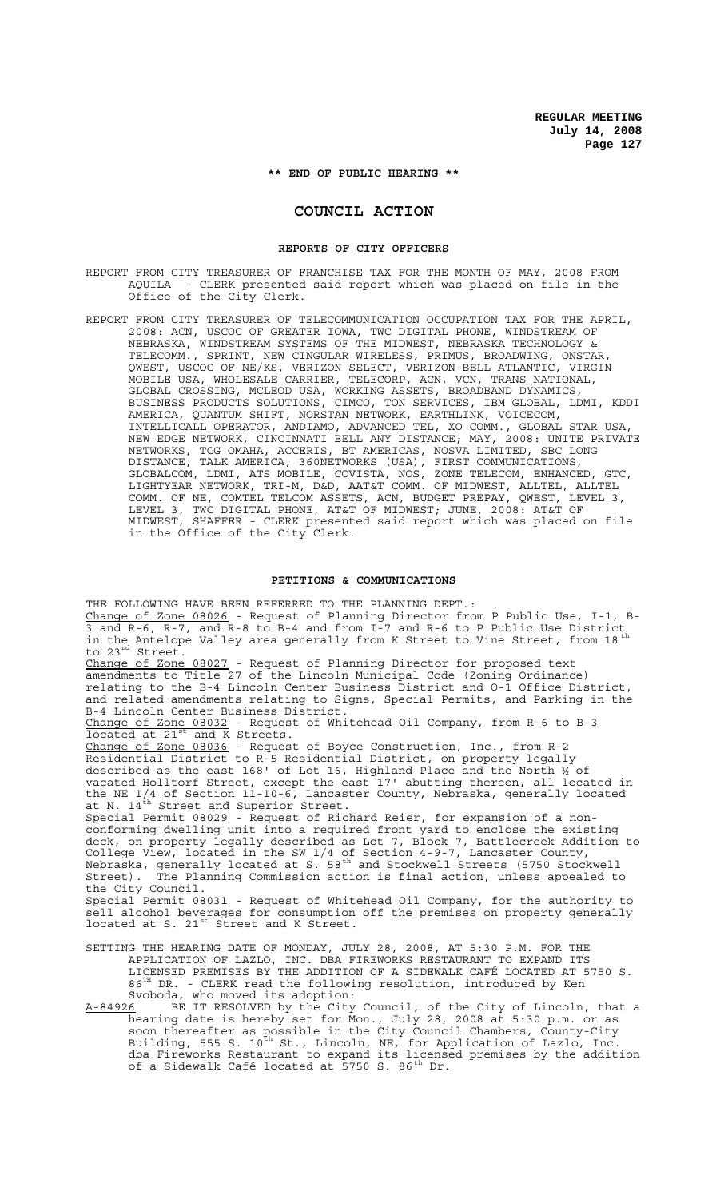**\*\* END OF PUBLIC HEARING \*\***

# **COUNCIL ACTION**

#### **REPORTS OF CITY OFFICERS**

REPORT FROM CITY TREASURER OF FRANCHISE TAX FOR THE MONTH OF MAY, 2008 FROM AQUILA - CLERK presented said report which was placed on file in the Office of the City Clerk.

REPORT FROM CITY TREASURER OF TELECOMMUNICATION OCCUPATION TAX FOR THE APRIL, 2008: ACN, USCOC OF GREATER IOWA, TWC DIGITAL PHONE, WINDSTREAM OF NEBRASKA, WINDSTREAM SYSTEMS OF THE MIDWEST, NEBRASKA TECHNOLOGY & TELECOMM., SPRINT, NEW CINGULAR WIRELESS, PRIMUS, BROADWING, ONSTAR, QWEST, USCOC OF NE/KS, VERIZON SELECT, VERIZON-BELL ATLANTIC, VIRGIN MOBILE USA, WHOLESALE CARRIER, TELECORP, ACN, VCN, TRANS NATIONAL, GLOBAL CROSSING, MCLEOD USA, WORKING ASSETS, BROADBAND DYNAMICS, BUSINESS PRODUCTS SOLUTIONS, CIMCO, TON SERVICES, IBM GLOBAL, LDMI, KDDI AMERICA, QUANTUM SHIFT, NORSTAN NETWORK, EARTHLINK, VOICECOM, INTELLICALL OPERATOR, ANDIAMO, ADVANCED TEL, XO COMM., GLOBAL STAR USA, NEW EDGE NETWORK, CINCINNATI BELL ANY DISTANCE; MAY, 2008: UNITE PRIVATE NETWORKS, TCG OMAHA, ACCERIS, BT AMERICAS, NOSVA LIMITED, SBC LONG DISTANCE, TALK AMERICA, 360NETWORKS (USA), FIRST COMMUNICATIONS, GLOBALCOM, LDMI, ATS MOBILE, COVISTA, NOS, ZONE TELECOM, ENHANCED, GTC, LIGHTYEAR NETWORK, TRI-M, D&D, AAT&T COMM. OF MIDWEST, ALLTEL, ALLTEL COMM. OF NE, COMTEL TELCOM ASSETS, ACN, BUDGET PREPAY, QWEST, LEVEL 3, LEVEL 3, TWC DIGITAL PHONE, AT&T OF MIDWEST; JUNE, 2008: AT&T OF MIDWEST, SHAFFER - CLERK presented said report which was placed on file in the Office of the City Clerk.

#### **PETITIONS & COMMUNICATIONS**

THE FOLLOWING HAVE BEEN REFERRED TO THE PLANNING DEPT.: Change of Zone 08026 - Request of Planning Director from P Public Use, I-1, B-3 and R-6, R-7, and R-8 to B-4 and from I-7 and R-6 to P Public Use District in the Antelope Valley area generally from K Street to Vine Street, from 18<sup>th</sup> to 23rd Street. Change of Zone 08027 - Request of Planning Director for proposed text amendments to Title 27 of the Lincoln Municipal Code (Zoning Ordinance) relating to the B-4 Lincoln Center Business District and O-1 Office District, and related amendments relating to Signs, Special Permits, and Parking in the B-4 Lincoln Center Business District. Change of Zone 08032 - Request of Whitehead Oil Company, from R-6 to B-3 located at 21<sup>st</sup> and K Streets. Change of Zone 08036 - Request of Boyce Construction, Inc., from R-2 Residential District to R-5 Residential District, on property legally described as the east 168' of Lot 16, Highland Place and the North ½ of vacated Holltorf Street, except the east 17' abutting thereon, all located in the NE 1/4 of Section 11-10-6, Lancaster County, Nebraska, generally located at N.  $14^{\text{th}}$  Street and Superior Street. Special Permit 08029 - Request of Richard Reier, for expansion of a nonconforming dwelling unit into a required front yard to enclose the existing deck, on property legally described as Lot 7, Block 7, Battlecreek Addition to College View, located in the SW 1/4 of Section 4-9-7, Lancaster County, Nebraska, generally located at S. 58th and Stockwell Streets (5750 Stockwell Street). The Planning Commission action is final action, unless appealed to the City Council. Special Permit 08031 - Request of Whitehead Oil Company, for the authority to sell alcohol beverages for consumption off the premises on property generally located at S. 21<sup>st</sup> Street and K Street. SETTING THE HEARING DATE OF MONDAY, JULY 28, 2008, AT 5:30 P.M. FOR THE APPLICATION OF LAZLO, INC. DBA FIREWORKS RESTAURANT TO EXPAND ITS LICENSED PREMISES BY THE ADDITION OF A SIDEWALK CAFÉ LOCATED AT 5750 S. 86<sup>TH</sup> DR. - CLERK read the following resolution, introduced by Ken

Svoboda, who moved its adoption: A-84926 BE IT RESOLVED by the City Council, of the City of Lincoln, that a hearing date is hereby set for Mon., July 28, 2008 at 5:30 p.m. or as soon thereafter as possible in the City Council Chambers, County-City Building, 555 S. 10<sup>th</sup> St., Lincoln, NE, for Application of Lazlo, Inc. dba Fireworks Restaurant to expand its licensed premises by the addition of a Sidewalk Café located at 5750 S. 86<sup>th</sup> Dr.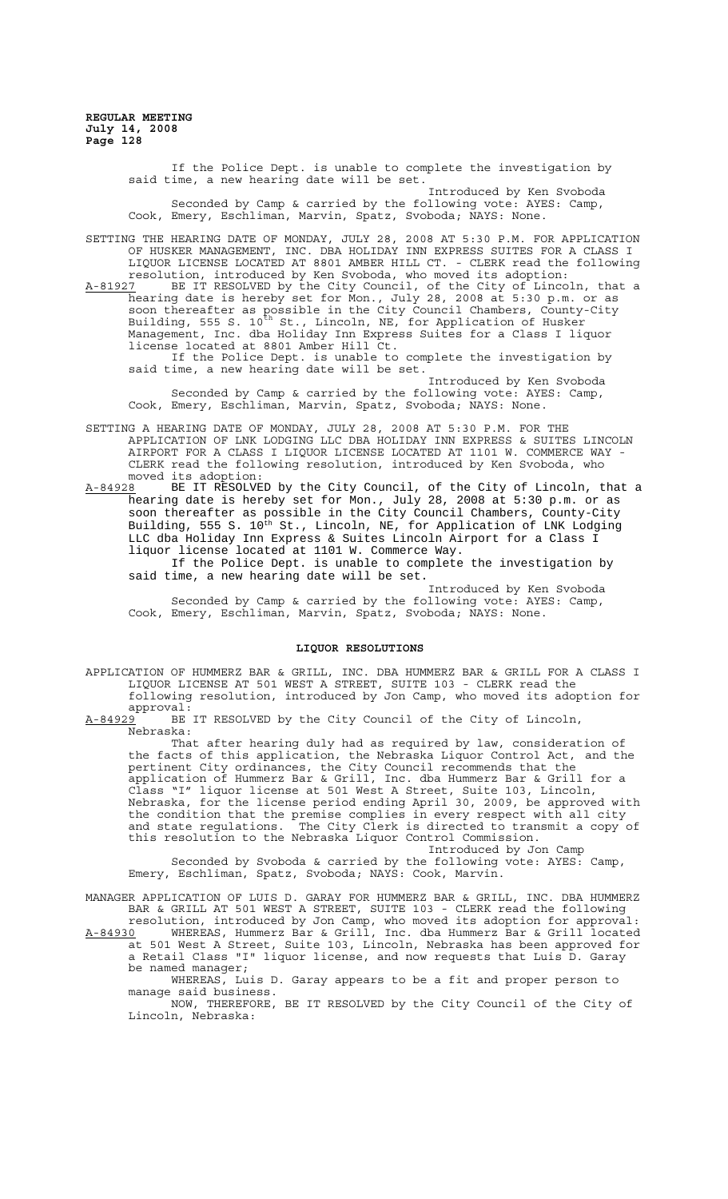> If the Police Dept. is unable to complete the investigation by said time, a new hearing date will be set. Introduced by Ken Svoboda

Seconded by Camp & carried by the following vote: AYES: Camp, Cook, Emery, Eschliman, Marvin, Spatz, Svoboda; NAYS: None.

SETTING THE HEARING DATE OF MONDAY, JULY 28, 2008 AT 5:30 P.M. FOR APPLICATION OF HUSKER MANAGEMENT, INC. DBA HOLIDAY INN EXPRESS SUITES FOR A CLASS I LIQUOR LICENSE LOCATED AT 8801 AMBER HILL CT. - CLERK read the following resolution, introduced by Ken Svoboda, who moved its adoption:

A-81927 BE IT RESOLVED by the City Council, of the City of Lincoln, that a hearing date is hereby set for Mon., July 28, 2008 at 5:30 p.m. or as soon thereafter as possible in the City Council Chambers, County-City Building, 555 S. 10<sup>th</sup> St., Lincoln, NE, for Application of Husker Management, Inc. dba Holiday Inn Express Suites for a Class I liquor license located at 8801 Amber Hill Ct.

If the Police Dept. is unable to complete the investigation by said time, a new hearing date will be set.

Introduced by Ken Svoboda Seconded by Camp & carried by the following vote: AYES: Camp, Cook, Emery, Eschliman, Marvin, Spatz, Svoboda; NAYS: None.

SETTING A HEARING DATE OF MONDAY, JULY 28, 2008 AT 5:30 P.M. FOR THE APPLICATION OF LNK LODGING LLC DBA HOLIDAY INN EXPRESS & SUITES LINCOLN AIRPORT FOR A CLASS I LIQUOR LICENSE LOCATED AT 1101 W. COMMERCE WAY - CLERK read the following resolution, introduced by Ken Svoboda, who

moved its adoption:<br>A-84928 BE IT RESOLVE A-84928 BE IT RESOLVED by the City Council, of the City of Lincoln, that a hearing date is hereby set for Mon., July 28, 2008 at 5:30 p.m. or as soon thereafter as possible in the City Council Chambers, County-City Building, 555 S. 10<sup>th</sup> St., Lincoln, NE, for Application of LNK Lodging LLC dba Holiday Inn Express & Suites Lincoln Airport for a Class I liquor license located at 1101 W. Commerce Way.

If the Police Dept. is unable to complete the investigation by said time, a new hearing date will be set.

Introduced by Ken Svoboda Seconded by Camp & carried by the following vote: AYES: Camp, Cook, Emery, Eschliman, Marvin, Spatz, Svoboda; NAYS: None.

## **LIQUOR RESOLUTIONS**

APPLICATION OF HUMMERZ BAR & GRILL, INC. DBA HUMMERZ BAR & GRILL FOR A CLASS I LIQUOR LICENSE AT 501 WEST A STREET, SUITE 103 - CLERK read the following resolution, introduced by Jon Camp, who moved its adoption for

 $approwal:$ <br> $A-84929$  BE BE IT RESOLVED by the City Council of the City of Lincoln, Nebraska:

That after hearing duly had as required by law, consideration of the facts of this application, the Nebraska Liquor Control Act, and the pertinent City ordinances, the City Council recommends that the application of Hummerz Bar & Grill, Inc. dba Hummerz Bar & Grill for a Class "I" liquor license at 501 West A Street, Suite 103, Lincoln, Nebraska, for the license period ending April 30, 2009, be approved with the condition that the premise complies in every respect with all city and state regulations. The City Clerk is directed to transmit a copy of this resolution to the Nebraska Liquor Control Commission.

Introduced by Jon Camp Seconded by Svoboda & carried by the following vote: AYES: Camp, Emery, Eschliman, Spatz, Svoboda; NAYS: Cook, Marvin.

MANAGER APPLICATION OF LUIS D. GARAY FOR HUMMERZ BAR & GRILL, INC. DBA HUMMERZ BAR & GRILL AT 501 WEST A STREET, SUITE 103 - CLERK read the following resolution, introduced by Jon Camp, who moved its adoption for approval:

A-84930 WHEREAS, Hummerz Bar & Grill, Inc. dba Hummerz Bar & Grill located at 501 West A Street, Suite 103, Lincoln, Nebraska has been approved for a Retail Class "I" liquor license, and now requests that Luis D. Garay be named manager;

WHEREAS, Luis D. Garay appears to be a fit and proper person to manage said business.

NOW, THEREFORE, BE IT RESOLVED by the City Council of the City of Lincoln, Nebraska: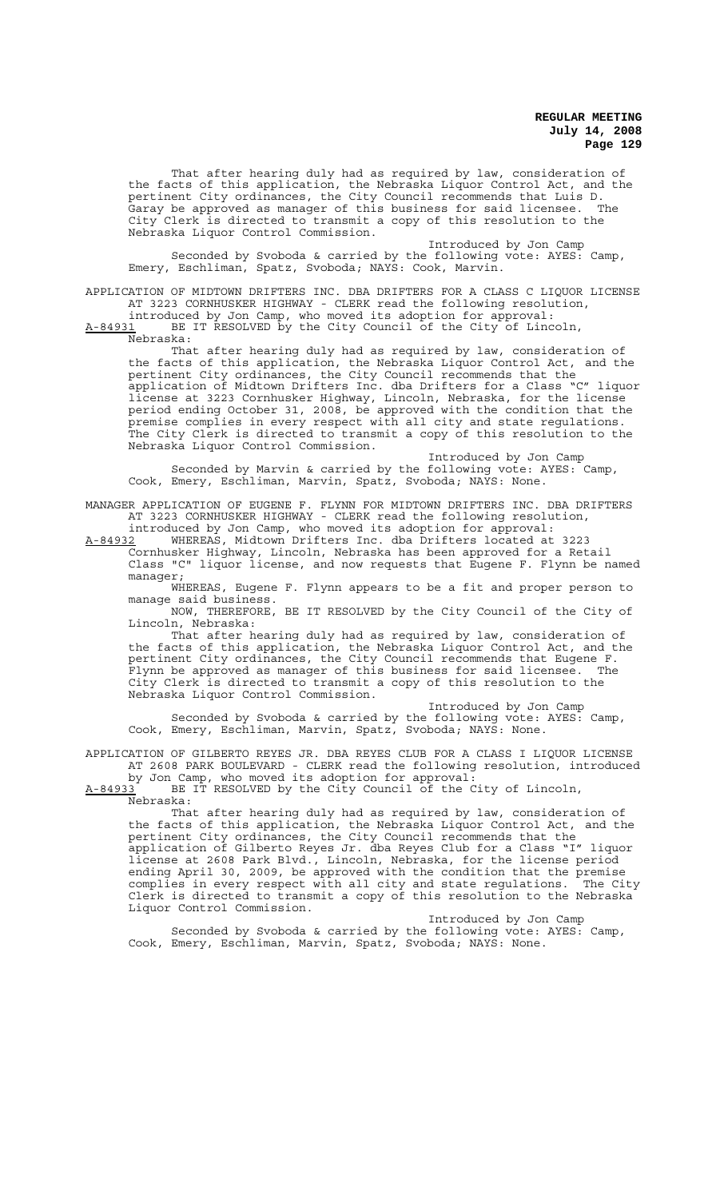That after hearing duly had as required by law, consideration of the facts of this application, the Nebraska Liquor Control Act, and the pertinent City ordinances, the City Council recommends that Luis D. Garay be approved as manager of this business for said licensee. The City Clerk is directed to transmit a copy of this resolution to the Nebraska Liquor Control Commission.

Introduced by Jon Camp Seconded by Svoboda & carried by the following vote: AYES: Camp, Emery, Eschliman, Spatz, Svoboda; NAYS: Cook, Marvin.

APPLICATION OF MIDTOWN DRIFTERS INC. DBA DRIFTERS FOR A CLASS C LIQUOR LICENSE AT 3223 CORNHUSKER HIGHWAY - CLERK read the following resolution, introduced by Jon Camp, who moved its adoption for approval:

A-84931 BE IT RESOLVED by the City Council of the City of Lincoln, A-84931 BE J<br>Nebraska:

That after hearing duly had as required by law, consideration of the facts of this application, the Nebraska Liquor Control Act, and the pertinent City ordinances, the City Council recommends that the application of Midtown Drifters Inc. dba Drifters for a Class "C" liquor license at 3223 Cornhusker Highway, Lincoln, Nebraska, for the license period ending October 31, 2008, be approved with the condition that the premise complies in every respect with all city and state regulations. The City Clerk is directed to transmit a copy of this resolution to the Nebraska Liquor Control Commission.

Introduced by Jon Camp Seconded by Marvin & carried by the following vote: AYES: Camp, Cook, Emery, Eschliman, Marvin, Spatz, Svoboda; NAYS: None.

MANAGER APPLICATION OF EUGENE F. FLYNN FOR MIDTOWN DRIFTERS INC. DBA DRIFTERS AT 3223 CORNHUSKER HIGHWAY - CLERK read the following resolution, introduced by Jon Camp, who moved its adoption for approval:

A-84932 WHEREAS, Midtown Drifters Inc. dba Drifters located at 3223 Cornhusker Highway, Lincoln, Nebraska has been approved for a Retail Class "C" liquor license, and now requests that Eugene F. Flynn be named manager;

WHEREAS, Eugene F. Flynn appears to be a fit and proper person to manage said business.

NOW, THEREFORE, BE IT RESOLVED by the City Council of the City of Lincoln, Nebraska:

That after hearing duly had as required by law, consideration of the facts of this application, the Nebraska Liquor Control Act, and the pertinent City ordinances, the City Council recommends that Eugene F. Flynn be approved as manager of this business for said licensee. The City Clerk is directed to transmit a copy of this resolution to the Nebraska Liquor Control Commission.

Introduced by Jon Camp Seconded by Svoboda & carried by the following vote: AYES: Camp, Cook, Emery, Eschliman, Marvin, Spatz, Svoboda; NAYS: None.

APPLICATION OF GILBERTO REYES JR. DBA REYES CLUB FOR A CLASS I LIQUOR LICENSE AT 2608 PARK BOULEVARD - CLERK read the following resolution, introduced by Jon Camp, who moved its adoption for approval:

A-84933 BE IT RESOLVED by the City Council of the City of Lincoln, Nebraska:

That after hearing duly had as required by law, consideration of the facts of this application, the Nebraska Liquor Control Act, and the pertinent City ordinances, the City Council recommends that the application of Gilberto Reyes Jr. dba Reyes Club for a Class "I" liquor license at 2608 Park Blvd., Lincoln, Nebraska, for the license period ending April 30, 2009, be approved with the condition that the premise complies in every respect with all city and state regulations. The City Clerk is directed to transmit a copy of this resolution to the Nebraska Liquor Control Commission.

Introduced by Jon Camp Seconded by Svoboda & carried by the following vote: AYES: Camp, Cook, Emery, Eschliman, Marvin, Spatz, Svoboda; NAYS: None.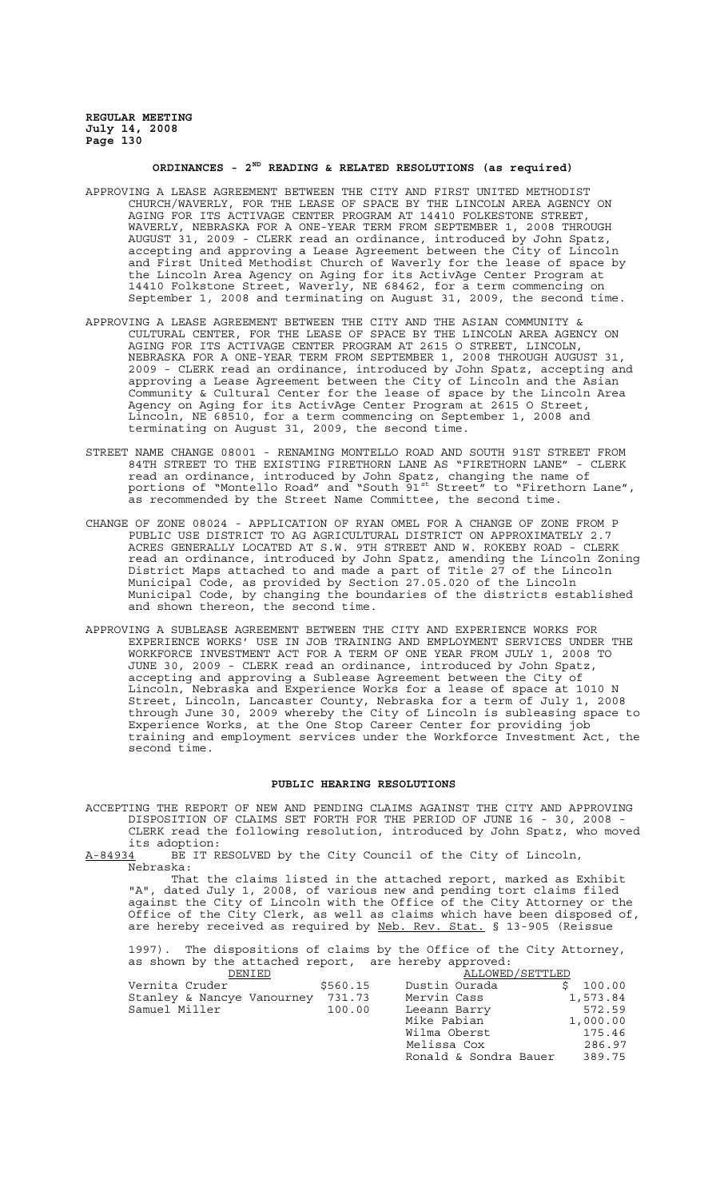# **ORDINANCES - 2ND READING & RELATED RESOLUTIONS (as required)**

- APPROVING A LEASE AGREEMENT BETWEEN THE CITY AND FIRST UNITED METHODIST CHURCH/WAVERLY, FOR THE LEASE OF SPACE BY THE LINCOLN AREA AGENCY ON AGING FOR ITS ACTIVAGE CENTER PROGRAM AT 14410 FOLKESTONE STREET WAVERLY, NEBRASKA FOR A ONE-YEAR TERM FROM SEPTEMBER 1, 2008 THROUGH AUGUST 31, 2009 - CLERK read an ordinance, introduced by John Spatz, accepting and approving a Lease Agreement between the City of Lincoln and First United Methodist Church of Waverly for the lease of space by the Lincoln Area Agency on Aging for its ActivAge Center Program at 14410 Folkstone Street, Waverly, NE 68462, for a term commencing on September 1, 2008 and terminating on August 31, 2009, the second time.
- APPROVING A LEASE AGREEMENT BETWEEN THE CITY AND THE ASIAN COMMUNITY & CULTURAL CENTER, FOR THE LEASE OF SPACE BY THE LINCOLN AREA AGENCY ON AGING FOR ITS ACTIVAGE CENTER PROGRAM AT 2615 O STREET, LINCOLN, NEBRASKA FOR A ONE-YEAR TERM FROM SEPTEMBER 1, 2008 THROUGH AUGUST 31, 2009 - CLERK read an ordinance, introduced by John Spatz, accepting and approving a Lease Agreement between the City of Lincoln and the Asian Community & Cultural Center for the lease of space by the Lincoln Area Agency on Aging for its ActivAge Center Program at 2615 O Street, Lincoln, NE 68510, for a term commencing on September 1, 2008 and terminating on August 31, 2009, the second time.
- STREET NAME CHANGE 08001 RENAMING MONTELLO ROAD AND SOUTH 91ST STREET FROM 84TH STREET TO THE EXISTING FIRETHORN LANE AS "FIRETHORN LANE" - CLERK read an ordinance, introduced by John Spatz, changing the name of portions of "Montello Road" and "South 91<sup>st</sup> Street" to "Firethorn Lane", as recommended by the Street Name Committee, the second time.
- CHANGE OF ZONE 08024 APPLICATION OF RYAN OMEL FOR A CHANGE OF ZONE FROM P PUBLIC USE DISTRICT TO AG AGRICULTURAL DISTRICT ON APPROXIMATELY 2.7 ACRES GENERALLY LOCATED AT S.W. 9TH STREET AND W. ROKEBY ROAD - CLERK read an ordinance, introduced by John Spatz, amending the Lincoln Zoning District Maps attached to and made a part of Title 27 of the Lincoln Municipal Code, as provided by Section 27.05.020 of the Lincoln Municipal Code, by changing the boundaries of the districts established and shown thereon, the second time.
- APPROVING A SUBLEASE AGREEMENT BETWEEN THE CITY AND EXPERIENCE WORKS FOR EXPERIENCE WORKS' USE IN JOB TRAINING AND EMPLOYMENT SERVICES UNDER THE WORKFORCE INVESTMENT ACT FOR A TERM OF ONE YEAR FROM JULY 1, 2008 TO JUNE 30, 2009 - CLERK read an ordinance, introduced by John Spatz, accepting and approving a Sublease Agreement between the City of Lincoln, Nebraska and Experience Works for a lease of space at 1010 N Street, Lincoln, Lancaster County, Nebraska for a term of July 1, 2008 through June 30, 2009 whereby the City of Lincoln is subleasing space to Experience Works, at the One Stop Career Center for providing job training and employment services under the Workforce Investment Act, the second time.

#### **PUBLIC HEARING RESOLUTIONS**

ACCEPTING THE REPORT OF NEW AND PENDING CLAIMS AGAINST THE CITY AND APPROVING DISPOSITION OF CLAIMS SET FORTH FOR THE PERIOD OF JUNE 16 - 30, 2008 - CLERK read the following resolution, introduced by John Spatz, who moved its adoption:<br><u>A-84934</u> BE IT R

BE IT RESOLVED by the City Council of the City of Lincoln, Nebraska:

That the claims listed in the attached report, marked as Exhibit "A", dated July 1, 2008, of various new and pending tort claims filed against the City of Lincoln with the Office of the City Attorney or the Office of the City Clerk, as well as claims which have been disposed of, are hereby received as required by Neb. Rev. Stat. § 13-905 (Reissue

1997). The dispositions of claims by the Office of the City Attorney, as shown by the attached report, are hereby approved:

| DENIED                     |          | ALLOWED/SETTLED       |          |
|----------------------------|----------|-----------------------|----------|
| Vernita Cruder             | \$560.15 | Dustin Ourada         | 100.00   |
| Stanley & Nancye Vanourney | 731.73   | Mervin Cass           | 1,573.84 |
| Samuel Miller              | 100.00   | Leeann Barry          | 572.59   |
|                            |          | Mike Pabian           | 1,000.00 |
|                            |          | Wilma Oberst          | 175.46   |
|                            |          | Melissa Cox           | 286.97   |
|                            |          | Ronald & Sondra Bauer | 389.75   |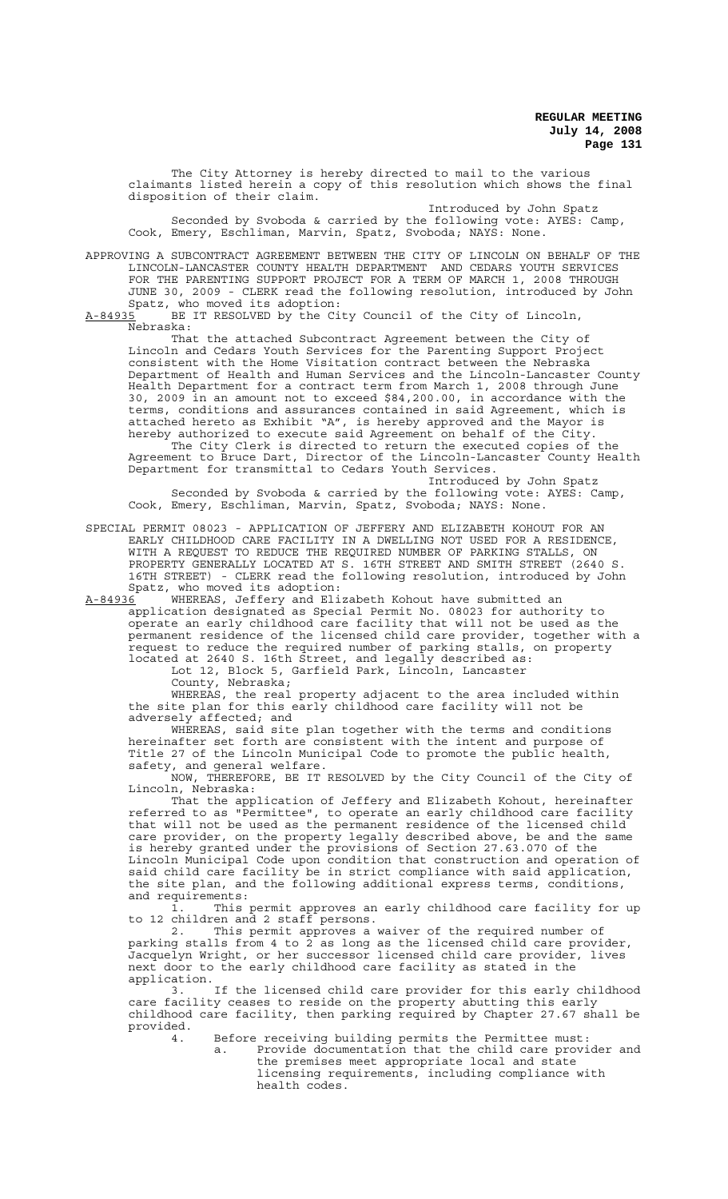The City Attorney is hereby directed to mail to the various claimants listed herein a copy of this resolution which shows the final disposition of their claim.

Introduced by John Spatz Seconded by Svoboda & carried by the following vote: AYES: Camp, Cook, Emery, Eschliman, Marvin, Spatz, Svoboda; NAYS: None.

APPROVING A SUBCONTRACT AGREEMENT BETWEEN THE CITY OF LINCOLN ON BEHALF OF THE LINCOLN-LANCASTER COUNTY HEALTH DEPARTMENT AND CEDARS YOUTH SERVICES FOR THE PARENTING SUPPORT PROJECT FOR A TERM OF MARCH 1, 2008 THROUGH JUNE 30, 2009 - CLERK read the following resolution, introduced by John Spatz, who moved its adoption:<br>A-84935 BE IT RESOLVED by the Ci

BE IT RESOLVED by the City Council of the City of Lincoln, Nebraska:

That the attached Subcontract Agreement between the City of Lincoln and Cedars Youth Services for the Parenting Support Project consistent with the Home Visitation contract between the Nebraska Department of Health and Human Services and the Lincoln-Lancaster County Health Department for a contract term from March 1, 2008 through June 30, 2009 in an amount not to exceed \$84,200.00, in accordance with the terms, conditions and assurances contained in said Agreement, which is attached hereto as Exhibit "A", is hereby approved and the Mayor is hereby authorized to execute said Agreement on behalf of the City.

The City Clerk is directed to return the executed copies of the Agreement to Bruce Dart, Director of the Lincoln-Lancaster County Health Department for transmittal to Cedars Youth Services. Introduced by John Spatz

Seconded by Svoboda & carried by the following vote: AYES: Camp, Cook, Emery, Eschliman, Marvin, Spatz, Svoboda; NAYS: None.

SPECIAL PERMIT 08023 - APPLICATION OF JEFFERY AND ELIZABETH KOHOUT FOR AN EARLY CHILDHOOD CARE FACILITY IN A DWELLING NOT USED FOR A RESIDENCE, WITH A REQUEST TO REDUCE THE REQUIRED NUMBER OF PARKING STALLS, ON PROPERTY GENERALLY LOCATED AT S. 16TH STREET AND SMITH STREET (2640 S. 16TH STREET) - CLERK read the following resolution, introduced by John Spatz, who moved its adoption:<br>A-84936 WHEREAS, Jeffery and Eli

A-84936 WHEREAS, Jeffery and Elizabeth Kohout have submitted an application designated as Special Permit No. 08023 for authority to operate an early childhood care facility that will not be used as the permanent residence of the licensed child care provider, together with a request to reduce the required number of parking stalls, on property located at 2640 S. 16th Street, and legally described as:

Lot 12, Block 5, Garfield Park, Lincoln, Lancaster County, Nebraska;

WHEREAS, the real property adjacent to the area included within the site plan for this early childhood care facility will not be adversely affected; and affected; and

WHEREAS, said site plan together with the terms and conditions hereinafter set forth are consistent with the intent and purpose of Title 27 of the Lincoln Municipal Code to promote the public health, safety, and general welfare.

NOW, THEREFORE, BE IT RESOLVED by the City Council of the City of Lincoln, Nebraska:

That the application of Jeffery and Elizabeth Kohout, hereinafter referred to as "Permittee", to operate an early childhood care facility that will not be used as the permanent residence of the licensed child care provider, on the property legally described above, be and the same is hereby granted under the provisions of Section 27.63.070 of the Lincoln Municipal Code upon condition that construction and operation of said child care facility be in strict compliance with said application, the site plan, and the following additional express terms, conditions, and requirements:

1. This permit approves an early childhood care facility for up to 12 children and 2 staff persons.

2. This permit approves a waiver of the required number of parking stalls from 4 to 2 as long as the licensed child care provider, Jacquelyn Wright, or her successor licensed child care provider, lives next door to the early childhood care facility as stated in the application.

3. If the licensed child care provider for this early childhood care facility ceases to reside on the property abutting this early childhood care facility, then parking required by Chapter 27.67 shall be provided.

4. Before receiving building permits the Permittee must:

Provide documentation that the child care provider and the premises meet appropriate local and state licensing requirements, including compliance with health codes.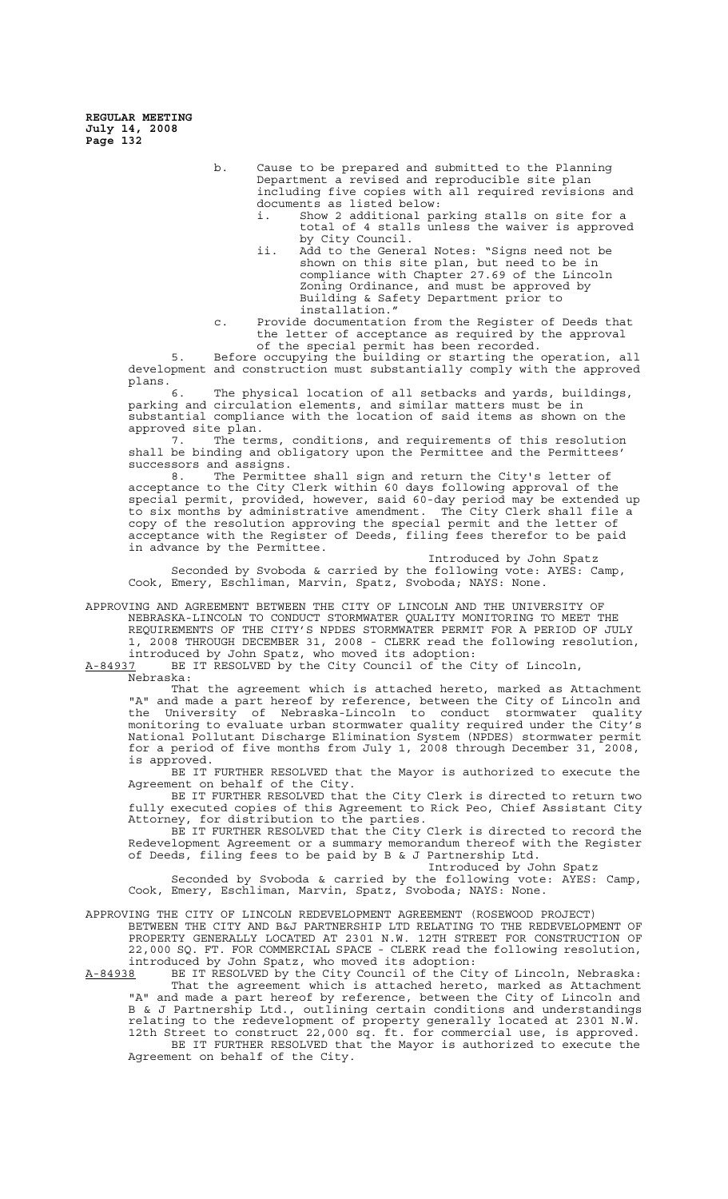> b. Cause to be prepared and submitted to the Planning Department a revised and reproducible site plan including five copies with all required revisions and documents as listed below:

- i. Show 2 additional parking stalls on site for a total of 4 stalls unless the waiver is approved by City Council.
- ii. Add to the General Notes: "Signs need not be shown on this site plan, but need to be in compliance with Chapter 27.69 of the Lincoln Zoning Ordinance, and must be approved by Building & Safety Department prior to installation."
- c. Provide documentation from the Register of Deeds that the letter of acceptance as required by the approval of the special permit has been recorded.

5. Before occupying the building or starting the operation, all development and construction must substantially comply with the approved plans.

6. The physical location of all setbacks and yards, buildings, parking and circulation elements, and similar matters must be in substantial compliance with the location of said items as shown on the approved site plan.

7. The terms, conditions, and requirements of this resolution shall be binding and obligatory upon the Permittee and the Permittees' successors and assigns.<br>8. The Permitt

The Permittee shall sign and return the City's letter of acceptance to the City Clerk within 60 days following approval of the special permit, provided, however, said 60-day period may be extended up to six months by administrative amendment. The City Clerk shall file a copy of the resolution approving the special permit and the letter of acceptance with the Register of Deeds, filing fees therefor to be paid in advance by the Permittee.

Introduced by John Spatz Seconded by Svoboda & carried by the following vote: AYES: Camp, Cook, Emery, Eschliman, Marvin, Spatz, Svoboda; NAYS: None.

APPROVING AND AGREEMENT BETWEEN THE CITY OF LINCOLN AND THE UNIVERSITY OF NEBRASKA-LINCOLN TO CONDUCT STORMWATER QUALITY MONITORING TO MEET THE REQUIREMENTS OF THE CITY'S NPDES STORMWATER PERMIT FOR A PERIOD OF JULY 1, 2008 THROUGH DECEMBER 31, 2008 - CLERK read the following resolution, introduced by John Spatz, who moved its adoption:

A-84937 BE IT RESOLVED by the City Council of the City of Lincoln, Nebraska:

That the agreement which is attached hereto, marked as Attachment "A" and made a part hereof by reference, between the City of Lincoln and the University of Nebraska-Lincoln to conduct stormwater quality monitoring to evaluate urban stormwater quality required under the City's National Pollutant Discharge Elimination System (NPDES) stormwater permit for a period of five months from July 1, 2008 through December 31, 2008, is approved.

BE IT FURTHER RESOLVED that the Mayor is authorized to execute the Agreement on behalf of the City.

BE IT FURTHER RESOLVED that the City Clerk is directed to return two fully executed copies of this Agreement to Rick Peo, Chief Assistant City Attorney, for distribution to the parties.

BE IT FURTHER RESOLVED that the City Clerk is directed to record the Redevelopment Agreement or a summary memorandum thereof with the Register of Deeds, filing fees to be paid by B & J Partnership Ltd.

Introduced by John Spatz<br>ne following vote: AYES: Camp, Seconded by Svoboda & carried by the following vote: AYES: Camp, Cook, Emery, Eschliman, Marvin, Spatz, Svoboda; NAYS: None.

## APPROVING THE CITY OF LINCOLN REDEVELOPMENT AGREEMENT (ROSEWOOD PROJECT)

BETWEEN THE CITY AND B&J PARTNERSHIP LTD RELATING TO THE REDEVELOPMENT OF PROPERTY GENERALLY LOCATED AT 2301 N.W. 12TH STREET FOR CONSTRUCTION OF 22,000 SQ. FT. FOR COMMERCIAL SPACE - CLERK read the following resolution, introduced by John Spatz, who moved its adoption:

A-84938 BE IT RESOLVED by the City Council of the City of Lincoln, Nebraska: That the agreement which is attached hereto, marked as Attachment "A" and made a part hereof by reference, between the City of Lincoln and B & J Partnership Ltd., outlining certain conditions and understandings relating to the redevelopment of property generally located at 2301 N.W. 12th Street to construct 22,000 sq. ft. for commercial use, is approved. BE IT FURTHER RESOLVED that the Mayor is authorized to execute the Agreement on behalf of the City.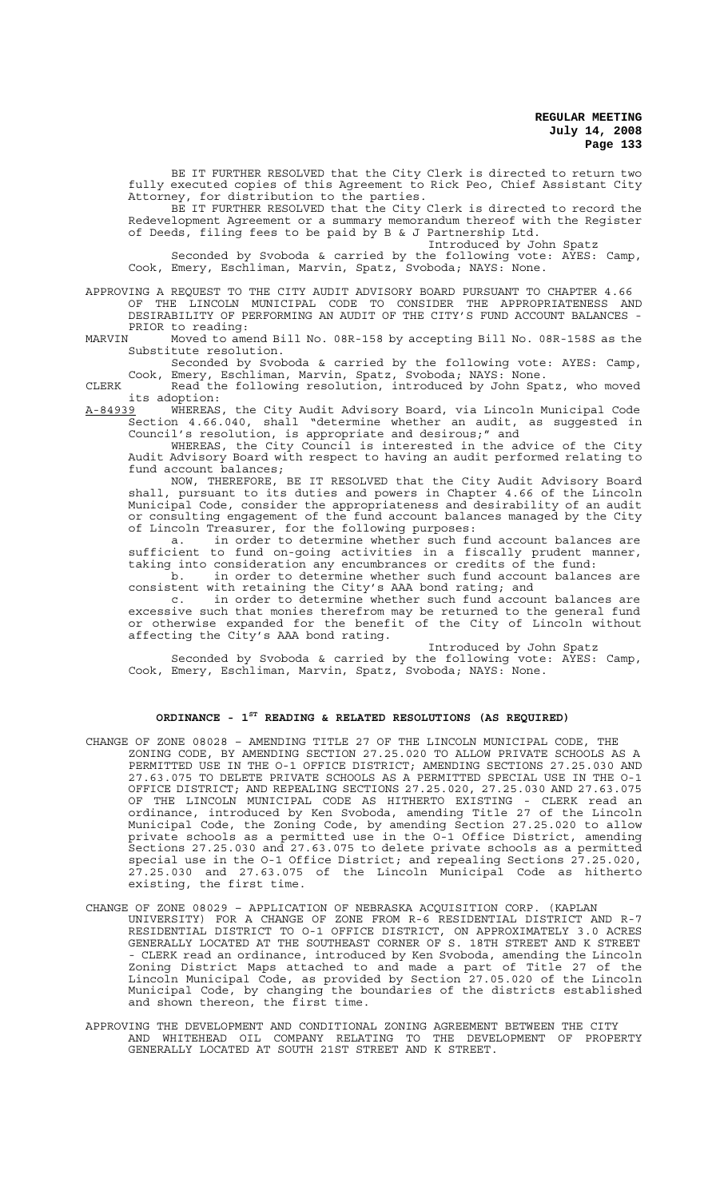BE IT FURTHER RESOLVED that the City Clerk is directed to return two fully executed copies of this Agreement to Rick Peo, Chief Assistant City Attorney, for distribution to the parties.

BE IT FURTHER RESOLVED that the City Clerk is directed to record the Redevelopment Agreement or a summary memorandum thereof with the Register of Deeds, filing fees to be paid by B & J Partnership Ltd.

Introduced by John Spatz<br>ne following vote: AYES: Camp, Seconded by Svoboda & carried by the following vote:  $\bar{A}YES$ : Camp, Cook, Emery, Eschliman, Marvin, Spatz, Svoboda; NAYS: None.

APPROVING A REQUEST TO THE CITY AUDIT ADVISORY BOARD PURSUANT TO CHAPTER 4.66 OF THE LINCOLN MUNICIPAL CODE TO CONSIDER THE APPROPRIATENESS AND DESIRABILITY OF PERFORMING AN AUDIT OF THE CITY'S FUND ACCOUNT BALANCES -

PRIOR to reading:<br>MARVIN Moved to ame Moved to amend Bill No. 08R-158 by accepting Bill No. 08R-158S as the Substitute resolution.

Seconded by Svoboda & carried by the following vote: AYES: Camp, Cook, Emery, Eschliman, Marvin, Spatz, Svoboda; NAYS: None.

CLERK Read the following resolution, introduced by John Spatz, who moved its adoption:<br><u>A-84939</u> WHEREAS

A-84939 WHEREAS, the City Audit Advisory Board, via Lincoln Municipal Code Section 4.66.040, shall "determine whether an audit, as suggested in Council's resolution, is appropriate and desirous;" and

WHEREAS, the City Council is interested in the advice of the City Audit Advisory Board with respect to having an audit performed relating to fund account balances;

NOW, THEREFORE, BE IT RESOLVED that the City Audit Advisory Board shall, pursuant to its duties and powers in Chapter 4.66 of the Lincoln Municipal Code, consider the appropriateness and desirability of an audit or consulting engagement of the fund account balances managed by the City of Lincoln Treasurer, for the following purposes:

a. in order to determine whether such fund account balances are sufficient to fund on-going activities in a fiscally prudent manner, taking into consideration any encumbrances or credits of the fund:

b. in order to determine whether such fund account balances are consistent with retaining the City's AAA bond rating; and

c. in order to determine whether such fund account balances are excessive such that monies therefrom may be returned to the general fund or otherwise expanded for the benefit of the City of Lincoln without affecting the City's AAA bond rating.

Introduced by John Spatz

Seconded by Svoboda & carried by the following vote:  $\overline{\text{A}Y}\text{ES}:$  Camp, Cook, Emery, Eschliman, Marvin, Spatz, Svoboda; NAYS: None.

# **ORDINANCE - 1ST READING & RELATED RESOLUTIONS (AS REQUIRED)**

- CHANGE OF ZONE 08028 AMENDING TITLE 27 OF THE LINCOLN MUNICIPAL CODE, THE ZONING CODE, BY AMENDING SECTION 27.25.020 TO ALLOW PRIVATE SCHOOLS AS A PERMITTED USE IN THE O-1 OFFICE DISTRICT; AMENDING SECTIONS 27.25.030 AND 27.63.075 TO DELETE PRIVATE SCHOOLS AS A PERMITTED SPECIAL USE IN THE O-1 OFFICE DISTRICT; AND REPEALING SECTIONS 27.25.020, 27.25.030 AND 27.63.075 OF THE LINCOLN MUNICIPAL CODE AS HITHERTO EXISTING - CLERK read an ordinance, introduced by Ken Svoboda, amending Title 27 of the Lincoln Municipal Code, the Zoning Code, by amending Section 27.25.020 to allow private schools as a permitted use in the O-1 Office District, amending Sections 27.25.030 and 27.63.075 to delete private schools as a permitted special use in the O-1 Office District; and repealing Sections 27.25.020, 27.25.030 and 27.63.075 of the Lincoln Municipal Code as hitherto  $27.25.030$  and  $27.63.075$  existing, the first time.
- CHANGE OF ZONE 08029 APPLICATION OF NEBRASKA ACQUISITION CORP. (KAPLAN UNIVERSITY) FOR A CHANGE OF ZONE FROM R-6 RESIDENTIAL DISTRICT AND R-7 RESIDENTIAL DISTRICT TO O-1 OFFICE DISTRICT, ON APPROXIMATELY 3.0 ACRES GENERALLY LOCATED AT THE SOUTHEAST CORNER OF S. 18TH STREET AND K STREET - CLERK read an ordinance, introduced by Ken Svoboda, amending the Lincoln Zoning District Maps attached to and made a part of Title 27 of the Lincoln Municipal Code, as provided by Section 27.05.020 of the Lincoln Municipal Code, by changing the boundaries of the districts established and shown thereon, the first time.
- APPROVING THE DEVELOPMENT AND CONDITIONAL ZONING AGREEMENT BETWEEN THE CITY AND WHITEHEAD OIL COMPANY RELATING TO THE DEVELOPMENT OF PROPERTY GENERALLY LOCATED AT SOUTH 21ST STREET AND K STREET.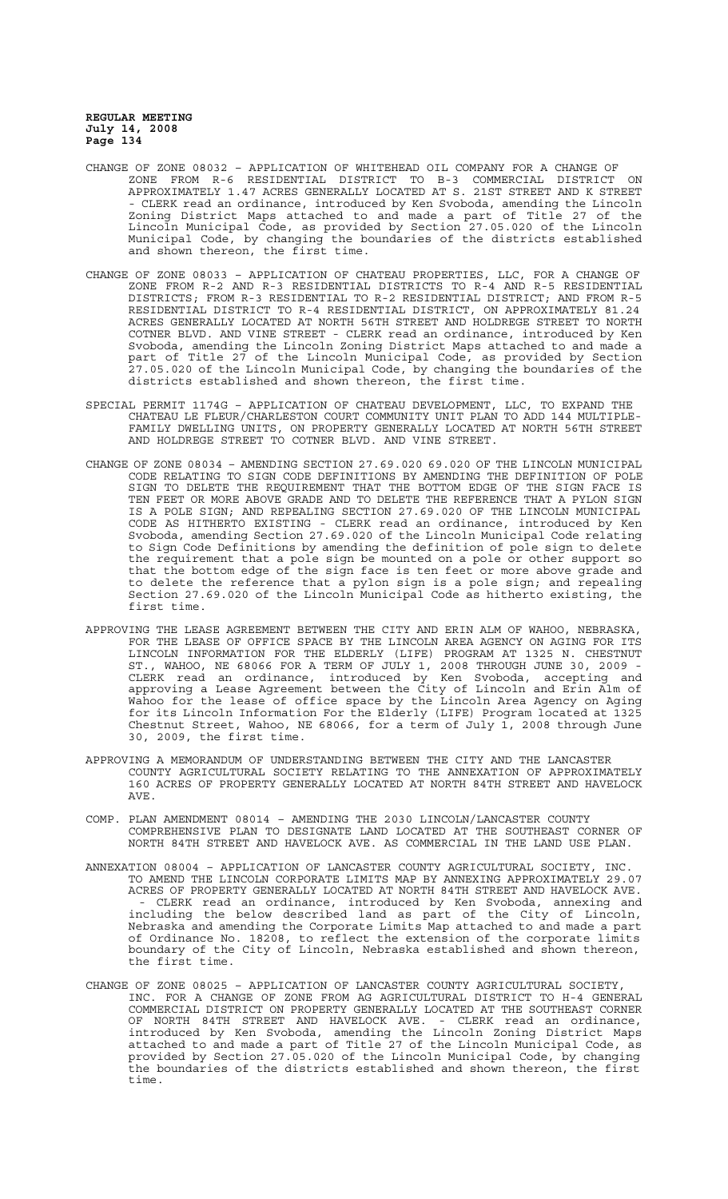- CHANGE OF ZONE 08032 APPLICATION OF WHITEHEAD OIL COMPANY FOR A CHANGE OF ZONE FROM R-6 RESIDENTIAL DISTRICT TO B-3 COMMERCIAL DISTRICT ON APPROXIMATELY 1.47 ACRES GENERALLY LOCATED AT S. 21ST STREET AND K STREET - CLERK read an ordinance, introduced by Ken Svoboda, amending the Lincoln Zoning District Maps attached to and made a part of Title 27 of the Lincoln Municipal Code, as provided by Section 27.05.020 of the Lincoln Municipal Code, by changing the boundaries of the districts established and shown thereon, the first time.
- CHANGE OF ZONE 08033 APPLICATION OF CHATEAU PROPERTIES, LLC, FOR A CHANGE OF ZONE FROM R-2 AND R-3 RESIDENTIAL DISTRICTS TO R-4 AND R-5 RESIDENTIAL DISTRICTS; FROM R-3 RESIDENTIAL TO R-2 RESIDENTIAL DISTRICT; AND FROM R-5 RESIDENTIAL DISTRICT TO R-4 RESIDENTIAL DISTRICT, ON APPROXIMATELY 81.24 ACRES GENERALLY LOCATED AT NORTH 56TH STREET AND HOLDREGE STREET TO NORTH COTNER BLVD. AND VINE STREET - CLERK read an ordinance, introduced by Ken Svoboda, amending the Lincoln Zoning District Maps attached to and made a part of Title 27 of the Lincoln Municipal Code, as provided by Section 27.05.020 of the Lincoln Municipal Code, by changing the boundaries of the districts established and shown thereon, the first time.
- SPECIAL PERMIT 1174G APPLICATION OF CHATEAU DEVELOPMENT, LLC, TO EXPAND THE CHATEAU LE FLEUR/CHARLESTON COURT COMMUNITY UNIT PLAN TO ADD 144 MULTIPLE-FAMILY DWELLING UNITS, ON PROPERTY GENERALLY LOCATED AT NORTH 56TH STREET AND HOLDREGE STREET TO COTNER BLVD. AND VINE STREET.
- CHANGE OF ZONE 08034 AMENDING SECTION 27.69.020 69.020 OF THE LINCOLN MUNICIPAL CODE RELATING TO SIGN CODE DEFINITIONS BY AMENDING THE DEFINITION OF POLE SIGN TO DELETE THE REQUIREMENT THAT THE BOTTOM EDGE OF THE SIGN FACE IS TEN FEET OR MORE ABOVE GRADE AND TO DELETE THE REFERENCE THAT A PYLON SIGN IS A POLE SIGN; AND REPEALING SECTION 27.69.020 OF THE LINCOLN MUNICIPAL CODE AS HITHERTO EXISTING - CLERK read an ordinance, introduced by Ken Svoboda, amending Section 27.69.020 of the Lincoln Municipal Code relating to Sign Code Definitions by amending the definition of pole sign to delete the requirement that a pole sign be mounted on a pole or other support so that the bottom edge of the sign face is ten feet or more above grade and to delete the reference that a pylon sign is a pole sign; and repealing Section 27.69.020 of the Lincoln Municipal Code as hitherto existing, the first time.
- APPROVING THE LEASE AGREEMENT BETWEEN THE CITY AND ERIN ALM OF WAHOO, NEBRASKA, FOR THE LEASE OF OFFICE SPACE BY THE LINCOLN AREA AGENCY ON AGING FOR ITS LINCOLN INFORMATION FOR THE ELDERLY (LIFE) PROGRAM AT 1325 N. CHESTNUT ST., WAHOO, NE 68066 FOR A TERM OF JULY 1, 2008 THROUGH JUNE 30, 2009 - CLERK read an ordinance, introduced by Ken Svoboda, accepting and approving a Lease Agreement between the City of Lincoln and Erin Alm of Wahoo for the lease of office space by the Lincoln Area Agency on Aging for its Lincoln Information For the Elderly (LIFE) Program located at 1325 Chestnut Street, Wahoo, NE 68066, for a term of July 1, 2008 through June 30, 2009, the first time.
- APPROVING A MEMORANDUM OF UNDERSTANDING BETWEEN THE CITY AND THE LANCASTER COUNTY AGRICULTURAL SOCIETY RELATING TO THE ANNEXATION OF APPROXIMATELY 160 ACRES OF PROPERTY GENERALLY LOCATED AT NORTH 84TH STREET AND HAVELOCK AVE.
- COMP. PLAN AMENDMENT 08014 AMENDING THE 2030 LINCOLN/LANCASTER COUNTY COMPREHENSIVE PLAN TO DESIGNATE LAND LOCATED AT THE SOUTHEAST CORNER OF NORTH 84TH STREET AND HAVELOCK AVE. AS COMMERCIAL IN THE LAND USE PLAN.
- ANNEXATION 08004 APPLICATION OF LANCASTER COUNTY AGRICULTURAL SOCIETY, INC. TO AMEND THE LINCOLN CORPORATE LIMITS MAP BY ANNEXING APPROXIMATELY 29.07 ACRES OF PROPERTY GENERALLY LOCATED AT NORTH 84TH STREET AND HAVELOCK AVE. - CLERK read an ordinance, introduced by Ken Svoboda, annexing and including the below described land as part of the City of Lincoln, Nebraska and amending the Corporate Limits Map attached to and made a part of Ordinance No. 18208, to reflect the extension of the corporate limits boundary of the City of Lincoln, Nebraska established and shown thereon, the first time.
- CHANGE OF ZONE 08025 APPLICATION OF LANCASTER COUNTY AGRICULTURAL SOCIETY, INC. FOR A CHANGE OF ZONE FROM AG AGRICULTURAL DISTRICT TO H-4 GENERAL COMMERCIAL DISTRICT ON PROPERTY GENERALLY LOCATED AT THE SOUTHEAST CORNER OF NORTH 84TH STREET AND HAVELOCK AVE. - CLERK read an ordinance, introduced by Ken Svoboda, amending the Lincoln Zoning District Maps attached to and made a part of Title 27 of the Lincoln Municipal Code, as provided by Section 27.05.020 of the Lincoln Municipal Code, by changing the boundaries of the districts established and shown thereon, the first time.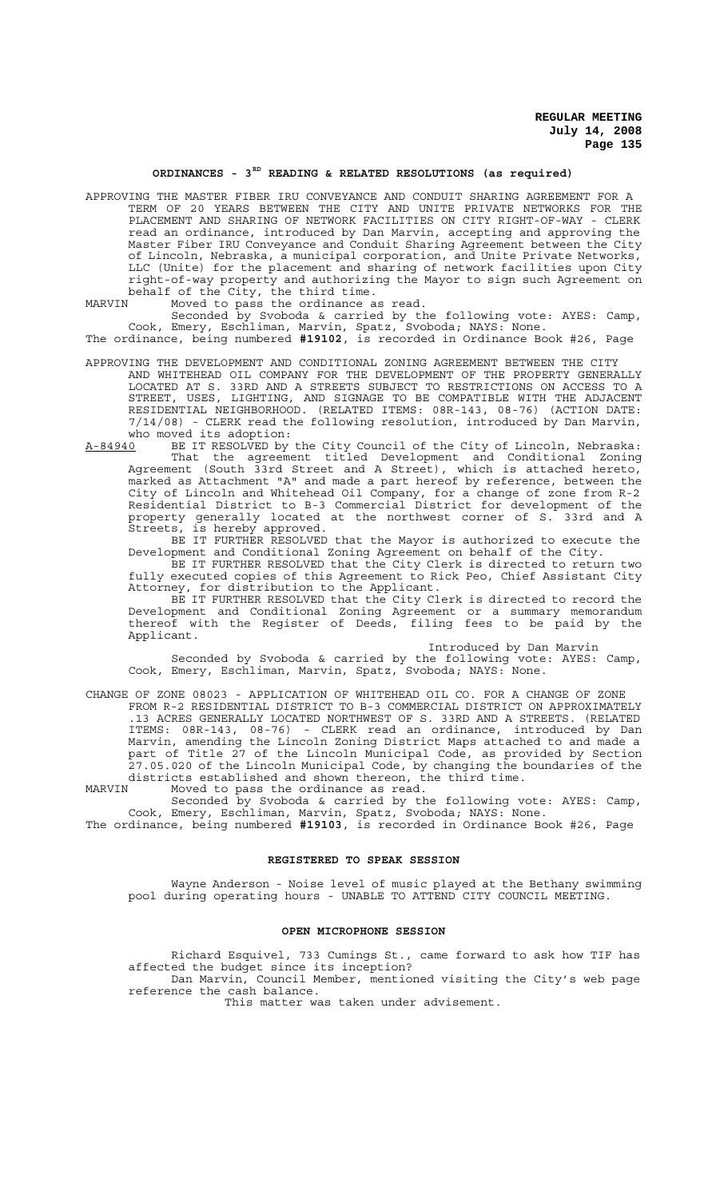#### **ORDINANCES - 3RD READING & RELATED RESOLUTIONS (as required)**

APPROVING THE MASTER FIBER IRU CONVEYANCE AND CONDUIT SHARING AGREEMENT FOR A TERM OF 20 YEARS BETWEEN THE CITY AND UNITE PRIVATE NETWORKS FOR THE PLACEMENT AND SHARING OF NETWORK FACILITIES ON CITY RIGHT-OF-WAY - CLERK read an ordinance, introduced by Dan Marvin, accepting and approving the Master Fiber IRU Conveyance and Conduit Sharing Agreement between the City of Lincoln, Nebraska, a municipal corporation, and Unite Private Networks, LLC (Unite) for the placement and sharing of network facilities upon City right-of-way property and authorizing the Mayor to sign such Agreement on behalf of the City, the third time.

MARVIN Moved to pass the ordinance as read.

Seconded by Svoboda & carried by the following vote: AYES: Camp, Cook, Emery, Eschliman, Marvin, Spatz, Svoboda; NAYS: None. The ordinance, being numbered **#19102**, is recorded in Ordinance Book #26, Page

APPROVING THE DEVELOPMENT AND CONDITIONAL ZONING AGREEMENT BETWEEN THE CITY AND WHITEHEAD OIL COMPANY FOR THE DEVELOPMENT OF THE PROPERTY GENERALLY LOCATED AT S. 33RD AND A STREETS SUBJECT TO RESTRICTIONS ON ACCESS TO A STREET, USES, LIGHTING, AND SIGNAGE TO BE COMPATIBLE WITH THE ADJACENT RESIDENTIAL NEIGHBORHOOD. (RELATED ITEMS: 08R-143, 08-76) (ACTION DATE: 7/14/08) - CLERK read the following resolution, introduced by Dan Marvin, who moved its adoption:

A-84940 BE IT RESOLVED by the City Council of the City of Lincoln, Nebraska: That the agreement titled Development and Conditional Zoning Agreement (South 33rd Street and A Street), which is attached hereto, marked as Attachment "A" and made a part hereof by reference, between the City of Lincoln and Whitehead Oil Company, for a change of zone from R-2 Residential District to B-3 Commercial District for development of the property generally located at the northwest corner of S. 33rd and A Streets, is hereby approved.

BE IT FURTHER RESOLVED that the Mayor is authorized to execute the Development and Conditional Zoning Agreement on behalf of the City.

BE IT FURTHER RESOLVED that the City Clerk is directed to return two fully executed copies of this Agreement to Rick Peo, Chief Assistant City Attorney, for distribution to the Applicant.

BE IT FURTHER RESOLVED that the City Clerk is directed to record the Development and Conditional Zoning Agreement or a summary memorandum thereof with the Register of Deeds, filing fees to be paid by the Applicant.

Introduced by Dan Marvin

Seconded by Svoboda & carried by the following vote: AYES: Camp, Cook, Emery, Eschliman, Marvin, Spatz, Svoboda; NAYS: None.

CHANGE OF ZONE 08023 - APPLICATION OF WHITEHEAD OIL CO. FOR A CHANGE OF ZONE FROM R-2 RESIDENTIAL DISTRICT TO B-3 COMMERCIAL DISTRICT ON APPROXIMATELY .13 ACRES GENERALLY LOCATED NORTHWEST OF S. 33RD AND A STREETS. (RELATED ITEMS: 08R-143, 08-76) - CLERK read an ordinance, introduced by Dan Marvin, amending the Lincoln Zoning District Maps attached to and made a part of Title 27 of the Lincoln Municipal Code, as provided by Section 27.05.020 of the Lincoln Municipal Code, by changing the boundaries of the districts established and shown thereon, the third time.

MARVIN Moved to pass the ordinance as read. Seconded by Svoboda & carried by the following vote: AYES: Camp,

Cook, Emery, Eschliman, Marvin, Spatz, Svoboda; NAYS: None. The ordinance, being numbered **#19103**, is recorded in Ordinance Book #26, Page

## **REGISTERED TO SPEAK SESSION**

Wayne Anderson - Noise level of music played at the Bethany swimming pool during operating hours - UNABLE TO ATTEND CITY COUNCIL MEETING.

#### **OPEN MICROPHONE SESSION**

Richard Esquivel, 733 Cumings St., came forward to ask how TIF has affected the budget since its inception? Dan Marvin, Council Member, mentioned visiting the City's web page

reference the cash balance. This matter was taken under advisement.